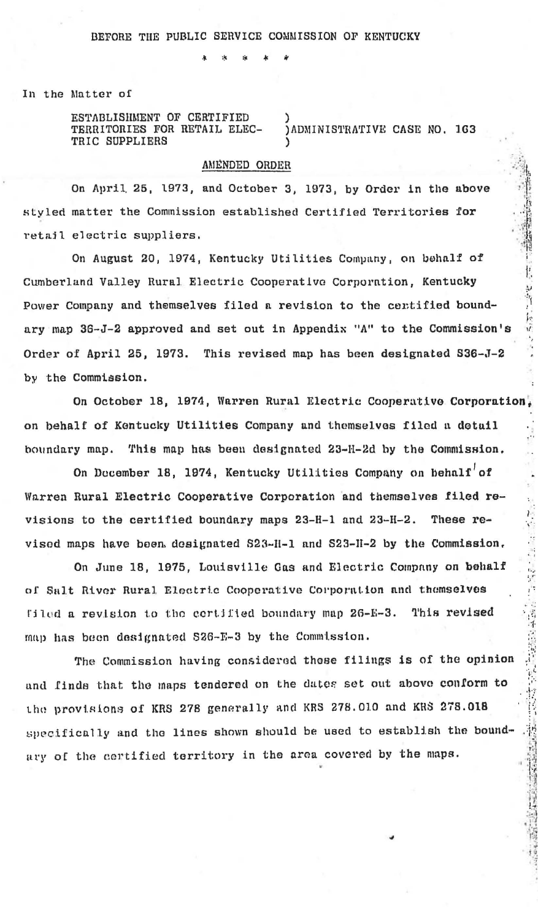In the Matter of

ESTABLISHMENT OF CERTIFIED TERRITORIES FOR RETAIL ELEC-TRIC SUPPLIERS

) ADMINISTRATIVE CASE NO. 163

## AMENDED ORDER

On April 25, 1973, and October 3, 1973, by Order in the above styled matter the Commission established Certified Territories for retail electric suppliers.

On August 20, 1974, Kentucky Utilities Company, on behalf of Cumberland Valley Rural Electric Cooperative Corporation, Kentucky Power Company and themselves filed a revision to the centified boundary map 36-J-2 approved and set out in Appendix "A" to the Commission's Order of April 25, 1973. This revised map has been designated S36-J-2 by the Commission.

On October 18, 1974, Warren Rural Electric Cooperative Corporation. on behalf of Kentucky Utilities Company and themselves filed a detail boundary map. This map has been designated 23-H-2d by the Commission.

On December 18, 1974, Kentucky Utilities Company on behalf' of Warren Rural Electric Cooperative Corporation and themselves filed revisions to the certified boundary maps 23-H-1 and 23-H-2. These revised maps have been designated S23-H-1 and S23-H-2 by the Commission.

On June 18, 1975, Louisville Gas and Electric Company on behalf of Salt River Rural Electric Cooperative Corporation and themselves filed a revision to the certified boundary map 26-E-3. This revised map has been designated S26-E-3 by the Commission.

The Commission having considered these filings is of the opinion and finds that the maps tendered on the dates set out above conform to the provisions of KRS 278 generally and KRS 278.010 and KRS 278.018 specifically and the lines shown should be used to establish the boundary of the certified territory in the area covered by the maps.